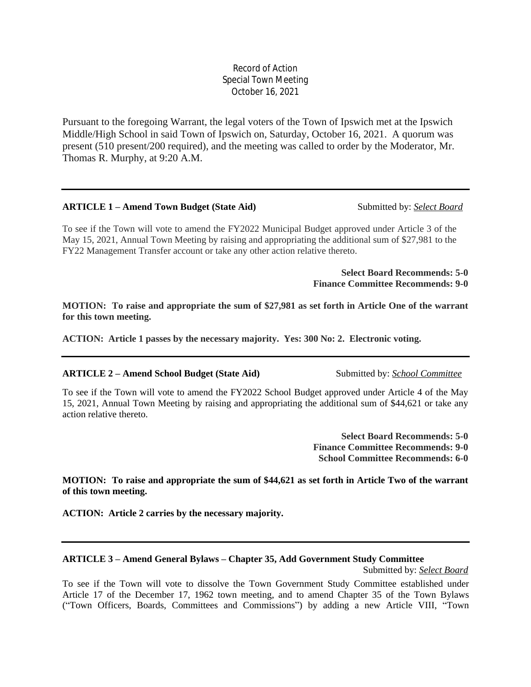# Record of Action Special Town Meeting October 16, 2021

Pursuant to the foregoing Warrant, the legal voters of the Town of Ipswich met at the Ipswich Middle/High School in said Town of Ipswich on, Saturday, October 16, 2021. A quorum was present (510 present/200 required), and the meeting was called to order by the Moderator, Mr. Thomas R. Murphy, at 9:20 A.M.

#### **ARTICLE 1 – Amend Town Budget (State Aid)** Submitted by: *Select Board*

To see if the Town will vote to amend the FY2022 Municipal Budget approved under Article 3 of the May 15, 2021, Annual Town Meeting by raising and appropriating the additional sum of \$27,981 to the FY22 Management Transfer account or take any other action relative thereto.

> **Select Board Recommends: 5-0 Finance Committee Recommends: 9-0**

**MOTION: To raise and appropriate the sum of \$27,981 as set forth in Article One of the warrant for this town meeting.**

**ACTION: Article 1 passes by the necessary majority. Yes: 300 No: 2. Electronic voting.**

#### **ARTICLE 2 – Amend School Budget (State Aid)** Submitted by: *School Committee*

To see if the Town will vote to amend the FY2022 School Budget approved under Article 4 of the May 15, 2021, Annual Town Meeting by raising and appropriating the additional sum of \$44,621 or take any action relative thereto.

> **Select Board Recommends: 5-0 Finance Committee Recommends: 9-0 School Committee Recommends: 6-0**

**MOTION: To raise and appropriate the sum of \$44,621 as set forth in Article Two of the warrant of this town meeting.**

**ACTION: Article 2 carries by the necessary majority.**

#### **ARTICLE 3 – Amend General Bylaws – Chapter 35, Add Government Study Committee**

Submitted by: *Select Board*

To see if the Town will vote to dissolve the Town Government Study Committee established under Article 17 of the December 17, 1962 town meeting, and to amend Chapter 35 of the Town Bylaws ("Town Officers, Boards, Committees and Commissions") by adding a new Article VIII, "Town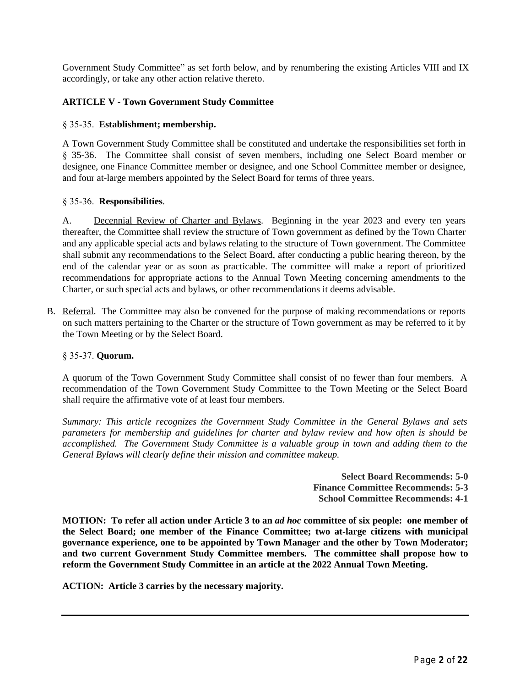Government Study Committee" as set forth below, and by renumbering the existing Articles VIII and IX accordingly, or take any other action relative thereto.

# **ARTICLE V - Town Government Study Committee**

#### § 35-35. **Establishment; membership.**

A Town Government Study Committee shall be constituted and undertake the responsibilities set forth in § 35-36. The Committee shall consist of seven members, including one Select Board member or designee, one Finance Committee member or designee, and one School Committee member or designee, and four at-large members appointed by the Select Board for terms of three years.

#### § 35-36. **Responsibilities**.

A. Decennial Review of Charter and Bylaws. Beginning in the year 2023 and every ten years thereafter, the Committee shall review the structure of Town government as defined by the Town Charter and any applicable special acts and bylaws relating to the structure of Town government. The Committee shall submit any recommendations to the Select Board, after conducting a public hearing thereon, by the end of the calendar year or as soon as practicable. The committee will make a report of prioritized recommendations for appropriate actions to the Annual Town Meeting concerning amendments to the Charter, or such special acts and bylaws, or other recommendations it deems advisable.

B. Referral. The Committee may also be convened for the purpose of making recommendations or reports on such matters pertaining to the Charter or the structure of Town government as may be referred to it by the Town Meeting or by the Select Board.

#### § 35-37. **Quorum.**

A quorum of the Town Government Study Committee shall consist of no fewer than four members. A recommendation of the Town Government Study Committee to the Town Meeting or the Select Board shall require the affirmative vote of at least four members.

*Summary: This article recognizes the Government Study Committee in the General Bylaws and sets parameters for membership and guidelines for charter and bylaw review and how often is should be accomplished. The Government Study Committee is a valuable group in town and adding them to the General Bylaws will clearly define their mission and committee makeup.* 

> **Select Board Recommends: 5-0 Finance Committee Recommends: 5-3 School Committee Recommends: 4-1**

MOTION: To refer all action under Article 3 to an *ad hoc* committee of six people: one member of **the Select Board; one member of the Finance Committee; two at-large citizens with municipal governance experience, one to be appointed by Town Manager and the other by Town Moderator; and two current Government Study Committee members. The committee shall propose how to reform the Government Study Committee in an article at the 2022 Annual Town Meeting.**

**ACTION: Article 3 carries by the necessary majority.**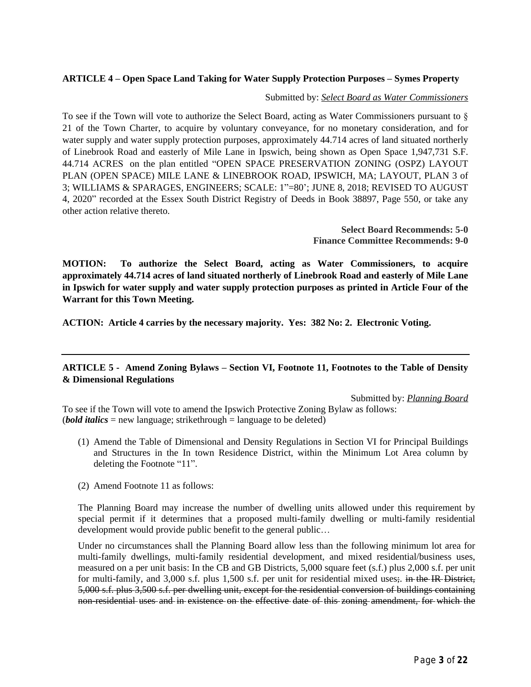# **ARTICLE 4 – Open Space Land Taking for Water Supply Protection Purposes – Symes Property**

#### Submitted by: *Select Board as Water Commissioners*

To see if the Town will vote to authorize the Select Board, acting as Water Commissioners pursuant to § 21 of the Town Charter, to acquire by voluntary conveyance, for no monetary consideration, and for water supply and water supply protection purposes, approximately 44.714 acres of land situated northerly of Linebrook Road and easterly of Mile Lane in Ipswich, being shown as Open Space 1,947,731 S.F. 44.714 ACRES on the plan entitled "OPEN SPACE PRESERVATION ZONING (OSPZ) LAYOUT PLAN (OPEN SPACE) MILE LANE & LINEBROOK ROAD, IPSWICH, MA; LAYOUT, PLAN 3 of 3; WILLIAMS & SPARAGES, ENGINEERS; SCALE: 1"=80'; JUNE 8, 2018; REVISED TO AUGUST 4, 2020" recorded at the Essex South District Registry of Deeds in Book 38897, Page 550, or take any other action relative thereto.

> **Select Board Recommends: 5-0 Finance Committee Recommends: 9-0**

**MOTION: To authorize the Select Board, acting as Water Commissioners, to acquire approximately 44.714 acres of land situated northerly of Linebrook Road and easterly of Mile Lane in Ipswich for water supply and water supply protection purposes as printed in Article Four of the Warrant for this Town Meeting.**

**ACTION: Article 4 carries by the necessary majority. Yes: 382 No: 2. Electronic Voting.**

# **ARTICLE 5 - Amend Zoning Bylaws – Section VI, Footnote 11, Footnotes to the Table of Density & Dimensional Regulations**

Submitted by: *Planning Board*

To see if the Town will vote to amend the Ipswich Protective Zoning Bylaw as follows: (*bold italics* = new language; strikethrough = language to be deleted)

- (1) Amend the Table of Dimensional and Density Regulations in Section VI for Principal Buildings and Structures in the In town Residence District, within the Minimum Lot Area column by deleting the Footnote "11".
- (2) Amend Footnote 11 as follows:

The Planning Board may increase the number of dwelling units allowed under this requirement by special permit if it determines that a proposed multi-family dwelling or multi-family residential development would provide public benefit to the general public…

Under no circumstances shall the Planning Board allow less than the following minimum lot area for multi-family dwellings, multi-family residential development, and mixed residential/business uses, measured on a per unit basis: In the CB and GB Districts, 5,000 square feet (s.f.) plus 2,000 s.f. per unit for multi-family, and 3,000 s.f. plus 1,500 s.f. per unit for residential mixed uses; in the IR District, 5,000 s.f. plus 3,500 s.f. per dwelling unit, except for the residential conversion of buildings containing non-residential uses and in existence on the effective date of this zoning amendment, for which the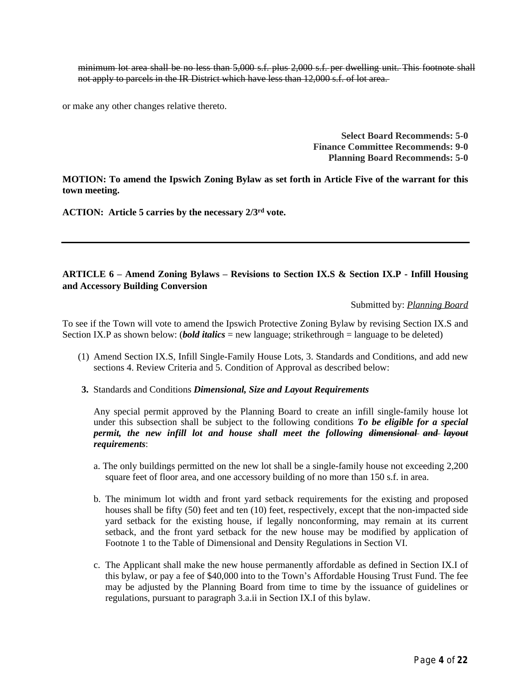minimum lot area shall be no less than 5,000 s.f. plus 2,000 s.f. per dwelling unit. This footnote shall not apply to parcels in the IR District which have less than 12,000 s.f. of lot area.

or make any other changes relative thereto.

**Select Board Recommends: 5-0 Finance Committee Recommends: 9-0 Planning Board Recommends: 5-0**

**MOTION: To amend the Ipswich Zoning Bylaw as set forth in Article Five of the warrant for this town meeting.**

**ACTION: Article 5 carries by the necessary 2/3rd vote.**

### **ARTICLE 6 – Amend Zoning Bylaws – Revisions to Section IX.S & Section IX.P - Infill Housing and Accessory Building Conversion**

Submitted by: *Planning Board*

To see if the Town will vote to amend the Ipswich Protective Zoning Bylaw by revising Section IX.S and Section IX.P as shown below: (*bold italics* = new language; strikethrough = language to be deleted)

- (1) Amend Section IX.S, Infill Single-Family House Lots, 3. Standards and Conditions, and add new sections 4. Review Criteria and 5. Condition of Approval as described below:
- **3.**Standards and Conditions *Dimensional, Size and Layout Requirements*

Any special permit approved by the Planning Board to create an infill single-family house lot under this subsection shall be subject to the following conditions *To be eligible for a special permit, the new infill lot and house shall meet the following dimensional and layout requirements*:

- a. The only buildings permitted on the new lot shall be a single-family house not exceeding 2,200 square feet of floor area, and one accessory building of no more than 150 s.f. in area.
- b. The minimum lot width and front yard setback requirements for the existing and proposed houses shall be fifty (50) feet and ten (10) feet, respectively, except that the non-impacted side yard setback for the existing house, if legally nonconforming, may remain at its current setback, and the front yard setback for the new house may be modified by application of Footnote 1 to the Table of Dimensional and Density Regulations in Section VI.
- c. The Applicant shall make the new house permanently affordable as defined in Section IX.I of this bylaw, or pay a fee of \$40,000 into to the Town's Affordable Housing Trust Fund. The fee may be adjusted by the Planning Board from time to time by the issuance of guidelines or regulations, pursuant to paragraph 3.a.ii in Section IX.I of this bylaw.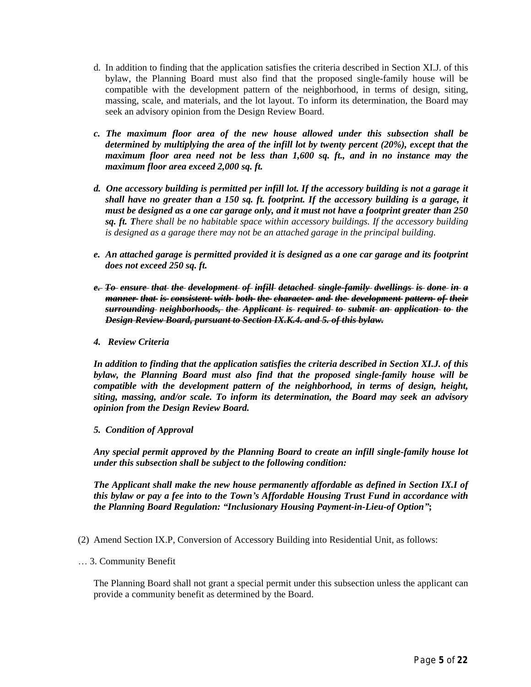- d. In addition to finding that the application satisfies the criteria described in Section XI.J. of this bylaw, the Planning Board must also find that the proposed single-family house will be compatible with the development pattern of the neighborhood, in terms of design, siting, massing, scale, and materials, and the lot layout. To inform its determination, the Board may seek an advisory opinion from the Design Review Board.
- *c. The maximum floor area of the new house allowed under this subsection shall be determined by multiplying the area of the infill lot by twenty percent (20%), except that the maximum floor area need not be less than 1,600 sq. ft., and in no instance may the maximum floor area exceed 2,000 sq. ft.*
- d. One accessory building is permitted per infill lot. If the accessory building is not a garage it *shall have no greater than a 150 sq. ft. footprint. If the accessory building is a garage, it* must be designed as a one car garage only, and it must not have a footprint greater than 250 *sq. ft. There shall be no habitable space within accessory buildings. If the accessory building is designed as a garage there may not be an attached garage in the principal building.*
- *e. An attached garage is permitted provided it is designed as a one car garage and its footprint does not exceed 250 sq. ft.*
- *e. To ensure that the development of infill detached single-family dwellings is done in a manner that is consistent with both the character and the development pattern of their surrounding neighborhoods, the Applicant is required to submit an application to the Design Review Board, pursuant to Section IX.K.4. and 5. of this bylaw.*
- *4. Review Criteria*

*In addition to finding that the application satisfies the criteria described in Section XI.J. of this bylaw, the Planning Board must also find that the proposed single-family house will be compatible with the development pattern of the neighborhood, in terms of design, height, siting, massing, and/or scale. To inform its determination, the Board may seek an advisory opinion from the Design Review Board.*

*5. Condition of Approval*

*Any special permit approved by the Planning Board to create an infill single-family house lot under this subsection shall be subject to the following condition:*

*The Applicant shall make the new house permanently affordable as defined in Section IX.I of this bylaw or pay a fee into to the Town's Affordable Housing Trust Fund in accordance with the Planning Board Regulation: "Inclusionary Housing Payment-in-Lieu-of Option"***;**

- (2) Amend Section IX.P, Conversion of Accessory Building into Residential Unit, as follows:
- … 3. Community Benefit

The Planning Board shall not grant a special permit under this subsection unless the applicant can provide a community benefit as determined by the Board.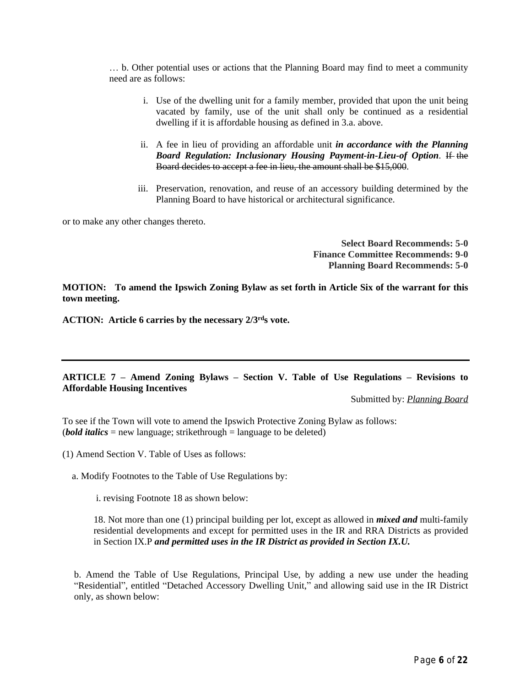… b. Other potential uses or actions that the Planning Board may find to meet a community need are as follows:

- i. Use of the dwelling unit for a family member, provided that upon the unit being vacated by family, use of the unit shall only be continued as a residential dwelling if it is affordable housing as defined in 3.a. above.
- ii. A fee in lieu of providing an affordable unit *in accordance with the Planning Board Regulation: Inclusionary Housing Payment-in-Lieu-of Option*. If the Board decides to accept a fee in lieu, the amount shall be \$15,000.
- iii. Preservation, renovation, and reuse of an accessory building determined by the Planning Board to have historical or architectural significance.

or to make any other changes thereto.

**Select Board Recommends: 5-0 Finance Committee Recommends: 9-0 Planning Board Recommends: 5-0**

**MOTION: To amend the Ipswich Zoning Bylaw as set forth in Article Six of the warrant for this town meeting.**

**ACTION: Article 6 carries by the necessary 2/3rds vote.**

#### **ARTICLE 7 – Amend Zoning Bylaws – Section V. Table of Use Regulations – Revisions to Affordable Housing Incentives**

Submitted by: *Planning Board*

To see if the Town will vote to amend the Ipswich Protective Zoning Bylaw as follows: (*bold italics* = new language; strikethrough = language to be deleted)

(1) Amend Section V. Table of Uses as follows:

a. Modify Footnotes to the Table of Use Regulations by:

i. revising Footnote 18 as shown below:

18. Not more than one (1) principal building per lot, except as allowed in *mixed and* multi-family residential developments and except for permitted uses in the IR and RRA Districts as provided in Section IX.P *and permitted uses in the IR District as provided in Section IX.U.*

b. Amend the Table of Use Regulations, Principal Use, by adding a new use under the heading "Residential", entitled "Detached Accessory Dwelling Unit," and allowing said use in the IR District only, as shown below: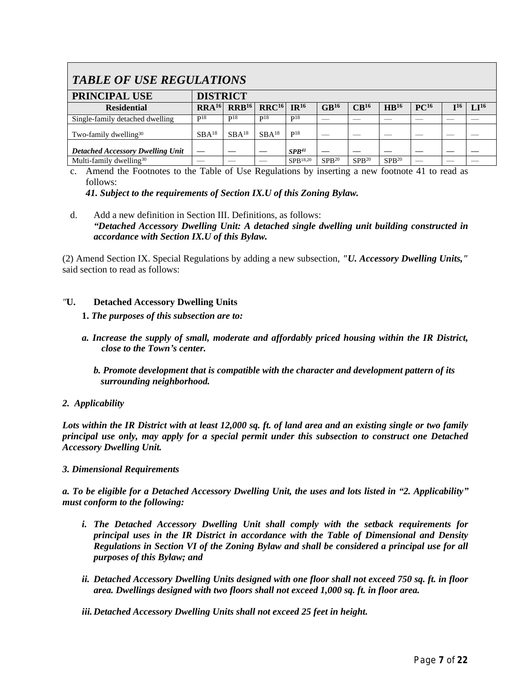# *TABLE OF USE REGULATIONS*

| <b>PRINCIPAL USE</b>                    | <b>DISTRICT</b>   |                   |                   |                   |                  |                   |                   |                  |     |           |
|-----------------------------------------|-------------------|-------------------|-------------------|-------------------|------------------|-------------------|-------------------|------------------|-----|-----------|
| <b>Residential</b>                      | RRA <sup>16</sup> | RRB <sup>16</sup> | RRC <sup>16</sup> | IR <sup>16</sup>  | GB <sup>16</sup> | CB <sup>16</sup>  | HB <sup>16</sup>  | PC <sup>16</sup> | I16 | $LI^{16}$ |
| Single-family detached dwelling         | P <sub>18</sub>   | P <sub>18</sub>   | P <sub>18</sub>   | P <sup>18</sup>   |                  |                   |                   |                  |     |           |
| Two-family dwelling <sup>30</sup>       | $SBA^{18}$        | $SBA^{18}$        | $SBA^{18}$        | P <sup>18</sup>   |                  |                   |                   |                  |     |           |
| <b>Detached Accessory Dwelling Unit</b> |                   |                   |                   | SPB <sup>41</sup> |                  |                   |                   |                  |     |           |
| Multi-family dwelling <sup>30</sup>     |                   |                   |                   | SPB18,20          | $SPR^{20}$       | SPB <sup>20</sup> | SPB <sup>20</sup> |                  |     |           |

c. Amend the Footnotes to the Table of Use Regulations by inserting a new footnote 41 to read as follows:

*41. Subject to the requirements of Section IX.U of this Zoning Bylaw.*

d. Add a new definition in Section III. Definitions, as follows: *"Detached Accessory Dwelling Unit: A detached single dwelling unit building constructed in accordance with Section IX.U of this Bylaw.* 

(2) Amend Section IX. Special Regulations by adding a new subsection, *"U. Accessory Dwelling Units,"* said section to read as follows:

# *"***U. Detached Accessory Dwelling Units**

- **1.** *The purposes of this subsection are to:*
- *a. Increase the supply of small, moderate and affordably priced housing within the IR District, close to the Town's center.*
	- *b. Promote development that is compatible with the character and development pattern of its surrounding neighborhood.*
- *2. Applicability*

Lots within the IR District with at least 12,000 sq. ft. of land area and an existing single or two family *principal use only, may apply for a special permit under this subsection to construct one Detached Accessory Dwelling Unit.*

#### *3. Dimensional Requirements*

a. To be eligible for a Detached Accessory Dwelling Unit, the uses and lots listed in "2. Applicability" *must conform to the following:* 

- *i. The Detached Accessory Dwelling Unit shall comply with the setback requirements for principal uses in the IR District in accordance with the Table of Dimensional and Density Regulations in Section VI of the Zoning Bylaw and shall be considered a principal use for all purposes of this Bylaw; and*
- *ii. Detached Accessory Dwelling Units designed with one floor shall not exceed 750 sq. ft. in floor area. Dwellings designed with two floors shall not exceed 1,000 sq. ft. in floor area.*

*iii.Detached Accessory Dwelling Units shall not exceed 25 feet in height.*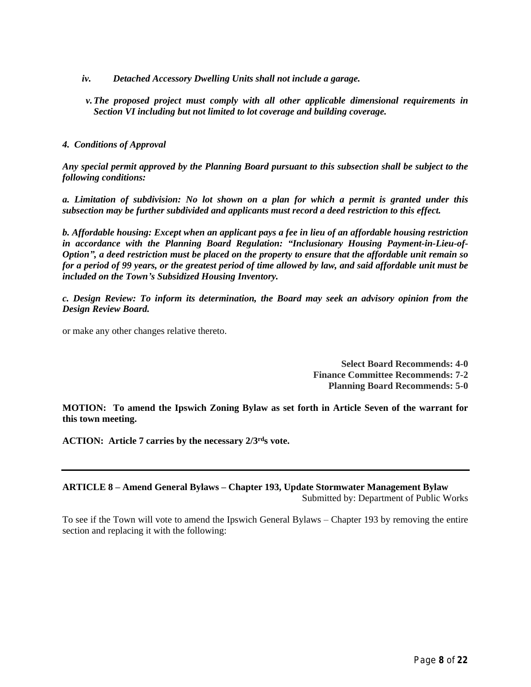- *iv. Detached Accessory Dwelling Units shall not include a garage.*
- *v.The proposed project must comply with all other applicable dimensional requirements in Section VI including but not limited to lot coverage and building coverage.*

### *4. Conditions of Approval*

*Any special permit approved by the Planning Board pursuant to this subsection shall be subject to the following conditions:*

*a. Limitation of subdivision: No lot shown on a plan for which a permit is granted under this subsection may be further subdivided and applicants must record a deed restriction to this effect.*

*b. Affordable housing: Except when an applicant pays a fee in lieu of an affordable housing restriction in accordance with the Planning Board Regulation: "Inclusionary Housing Payment-in-Lieu-of-*Option", a deed restriction must be placed on the property to ensure that the affordable unit remain so for a period of 99 years, or the greatest period of time allowed by law, and said affordable unit must be *included on the Town's Subsidized Housing Inventory.*

*c. Design Review: To inform its determination, the Board may seek an advisory opinion from the Design Review Board.*

or make any other changes relative thereto.

**Select Board Recommends: 4-0 Finance Committee Recommends: 7-2 Planning Board Recommends: 5-0**

**MOTION: To amend the Ipswich Zoning Bylaw as set forth in Article Seven of the warrant for this town meeting.**

**ACTION: Article 7 carries by the necessary 2/3rds vote.**

# **ARTICLE 8 – Amend General Bylaws – Chapter 193, Update Stormwater Management Bylaw** Submitted by: Department of Public Works

To see if the Town will vote to amend the Ipswich General Bylaws – Chapter 193 by removing the entire section and replacing it with the following: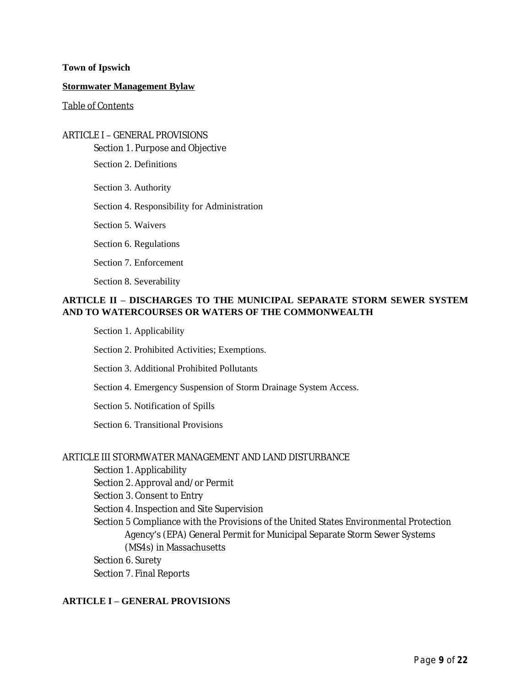#### **Town of Ipswich**

#### **Stormwater Management Bylaw**

#### Table of Contents

# ARTICLE I – GENERAL PROVISIONS

Section 1. Purpose and Objective

Section 2. Definitions

Section 3. Authority

Section 4. Responsibility for Administration

Section 5. Waivers

Section 6. Regulations

Section 7. Enforcement

Section 8. Severability

# **ARTICLE II – DISCHARGES TO THE MUNICIPAL SEPARATE STORM SEWER SYSTEM AND TO WATERCOURSES OR WATERS OF THE COMMONWEALTH**

Section 1. Applicability

Section 2. Prohibited Activities; Exemptions.

Section 3. Additional Prohibited Pollutants

Section 4. Emergency Suspension of Storm Drainage System Access.

Section 5. Notification of Spills

Section 6. Transitional Provisions

#### ARTICLE III STORMWATER MANAGEMENT AND LAND DISTURBANCE

Section 1. Applicability

Section 2. Approval and/or Permit

Section 3. Consent to Entry

Section 4. Inspection and Site Supervision

Section 5 Compliance with the Provisions of the United States Environmental Protection Agency's (EPA) General Permit for Municipal Separate Storm Sewer Systems (MS4s) in Massachusetts

Section 6. Surety

Section 7. Final Reports

# **ARTICLE I – GENERAL PROVISIONS**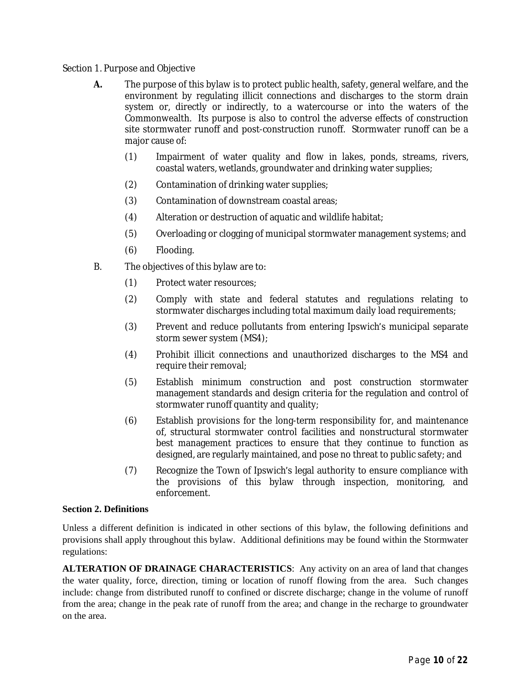### Section 1. Purpose and Objective

- **A.** The purpose of this bylaw is to protect public health, safety, general welfare, and the environment by regulating illicit connections and discharges to the storm drain system or, directly or indirectly, to a watercourse or into the waters of the Commonwealth. Its purpose is also to control the adverse effects of construction site stormwater runoff and post-construction runoff. Stormwater runoff can be a major cause of:
	- (1) Impairment of water quality and flow in lakes, ponds, streams, rivers, coastal waters, wetlands, groundwater and drinking water supplies;
	- (2) Contamination of drinking water supplies;
	- (3) Contamination of downstream coastal areas;
	- (4) Alteration or destruction of aquatic and wildlife habitat;
	- (5) Overloading or clogging of municipal stormwater management systems; and
	- (6) Flooding.
- B. The objectives of this bylaw are to:
	- (1) Protect water resources;
	- (2) Comply with state and federal statutes and regulations relating to stormwater discharges including total maximum daily load requirements;
	- (3) Prevent and reduce pollutants from entering Ipswich's municipal separate storm sewer system (MS4);
	- (4) Prohibit illicit connections and unauthorized discharges to the MS4 and require their removal;
	- (5) Establish minimum construction and post construction stormwater management standards and design criteria for the regulation and control of stormwater runoff quantity and quality;
	- (6) Establish provisions for the long-term responsibility for, and maintenance of, structural stormwater control facilities and nonstructural stormwater best management practices to ensure that they continue to function as designed, are regularly maintained, and pose no threat to public safety; and
	- (7) Recognize the Town of Ipswich's legal authority to ensure compliance with the provisions of this bylaw through inspection, monitoring, and enforcement.

#### **Section 2. Definitions**

Unless a different definition is indicated in other sections of this bylaw, the following definitions and provisions shall apply throughout this bylaw. Additional definitions may be found within the Stormwater regulations:

**ALTERATION OF DRAINAGE CHARACTERISTICS**: Any activity on an area of land that changes the water quality, force, direction, timing or location of runoff flowing from the area. Such changes include: change from distributed runoff to confined or discrete discharge; change in the volume of runoff from the area; change in the peak rate of runoff from the area; and change in the recharge to groundwater on the area.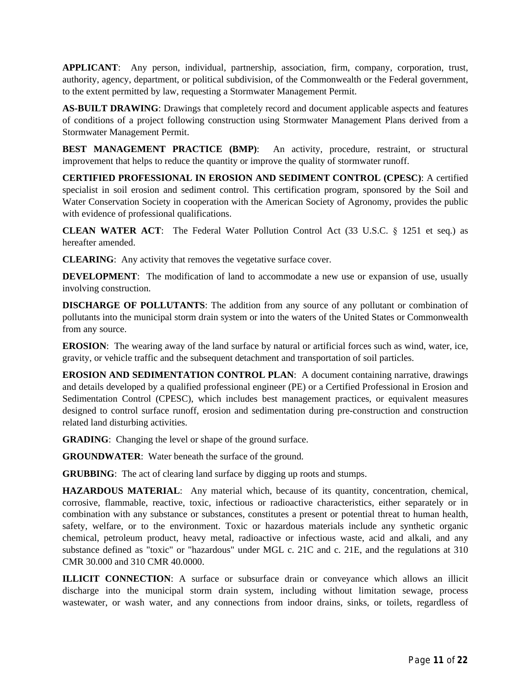**APPLICANT**: Any person, individual, partnership, association, firm, company, corporation, trust, authority, agency, department, or political subdivision, of the Commonwealth or the Federal government, to the extent permitted by law, requesting a Stormwater Management Permit.

**AS-BUILT DRAWING**: Drawings that completely record and document applicable aspects and features of conditions of a project following construction using Stormwater Management Plans derived from a Stormwater Management Permit.

**BEST MANAGEMENT PRACTICE (BMP)**: An activity, procedure, restraint, or structural improvement that helps to reduce the quantity or improve the quality of stormwater runoff.

**CERTIFIED PROFESSIONAL IN EROSION AND SEDIMENT CONTROL (CPESC)**: A certified specialist in soil erosion and sediment control. This certification program, sponsored by the Soil and Water Conservation Society in cooperation with the American Society of Agronomy, provides the public with evidence of professional qualifications.

**CLEAN WATER ACT**: The Federal Water Pollution Control Act (33 U.S.C. § 1251 et seq.) as hereafter amended.

**CLEARING**: Any activity that removes the vegetative surface cover.

**DEVELOPMENT**: The modification of land to accommodate a new use or expansion of use, usually involving construction.

**DISCHARGE OF POLLUTANTS**: The addition from any source of any pollutant or combination of pollutants into the municipal storm drain system or into the waters of the United States or Commonwealth from any source.

**EROSION**: The wearing away of the land surface by natural or artificial forces such as wind, water, ice, gravity, or vehicle traffic and the subsequent detachment and transportation of soil particles.

**EROSION AND SEDIMENTATION CONTROL PLAN**: A document containing narrative, drawings and details developed by a qualified professional engineer (PE) or a Certified Professional in Erosion and Sedimentation Control (CPESC), which includes best management practices, or equivalent measures designed to control surface runoff, erosion and sedimentation during pre-construction and construction related land disturbing activities.

**GRADING:** Changing the level or shape of the ground surface.

**GROUNDWATER**: Water beneath the surface of the ground.

**GRUBBING**: The act of clearing land surface by digging up roots and stumps.

**HAZARDOUS MATERIAL**: Any material which, because of its quantity, concentration, chemical, corrosive, flammable, reactive, toxic, infectious or radioactive characteristics, either separately or in combination with any substance or substances, constitutes a present or potential threat to human health, safety, welfare, or to the environment. Toxic or hazardous materials include any synthetic organic chemical, petroleum product, heavy metal, radioactive or infectious waste, acid and alkali, and any substance defined as "toxic" or "hazardous" under MGL c. 21C and c. 21E, and the regulations at 310 CMR 30.000 and 310 CMR 40.0000.

**ILLICIT CONNECTION**: A surface or subsurface drain or conveyance which allows an illicit discharge into the municipal storm drain system, including without limitation sewage, process wastewater, or wash water, and any connections from indoor drains, sinks, or toilets, regardless of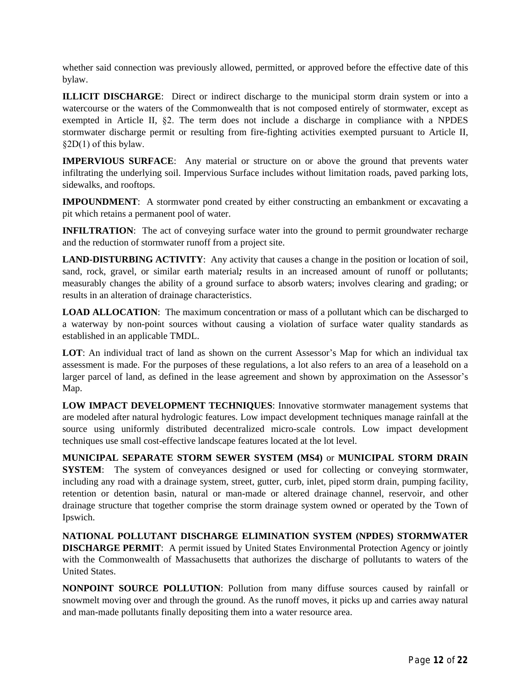whether said connection was previously allowed, permitted, or approved before the effective date of this bylaw.

**ILLICIT DISCHARGE**: Direct or indirect discharge to the municipal storm drain system or into a watercourse or the waters of the Commonwealth that is not composed entirely of stormwater, except as exempted in Article II, §2. The term does not include a discharge in compliance with a NPDES stormwater discharge permit or resulting from fire-fighting activities exempted pursuant to Article II, §2D(1) of this bylaw.

**IMPERVIOUS SURFACE**: Any material or structure on or above the ground that prevents water infiltrating the underlying soil. Impervious Surface includes without limitation roads, paved parking lots, sidewalks, and rooftops.

**IMPOUNDMENT**: A stormwater pond created by either constructing an embankment or excavating a pit which retains a permanent pool of water.

**INFILTRATION:** The act of conveying surface water into the ground to permit groundwater recharge and the reduction of stormwater runoff from a project site.

**LAND-DISTURBING ACTIVITY**: Any activity that causes a change in the position or location of soil, sand, rock, gravel, or similar earth material*;* results in an increased amount of runoff or pollutants; measurably changes the ability of a ground surface to absorb waters; involves clearing and grading; or results in an alteration of drainage characteristics.

**LOAD ALLOCATION**: The maximum concentration or mass of a pollutant which can be discharged to a waterway by non-point sources without causing a violation of surface water quality standards as established in an applicable TMDL.

**LOT**: An individual tract of land as shown on the current Assessor's Map for which an individual tax assessment is made. For the purposes of these regulations, a lot also refers to an area of a leasehold on a larger parcel of land, as defined in the lease agreement and shown by approximation on the Assessor's Map.

**LOW IMPACT DEVELOPMENT TECHNIQUES**: Innovative stormwater management systems that are modeled after natural hydrologic features. Low impact development techniques manage rainfall at the source using uniformly distributed decentralized micro-scale controls. Low impact development techniques use small cost-effective landscape features located at the lot level.

**MUNICIPAL SEPARATE STORM SEWER SYSTEM (MS4)** or **MUNICIPAL STORM DRAIN SYSTEM**: The system of conveyances designed or used for collecting or conveying stormwater, including any road with a drainage system, street, gutter, curb, inlet, piped storm drain, pumping facility, retention or detention basin, natural or man-made or altered drainage channel, reservoir, and other drainage structure that together comprise the storm drainage system owned or operated by the Town of Ipswich.

**NATIONAL POLLUTANT DISCHARGE ELIMINATION SYSTEM (NPDES) STORMWATER DISCHARGE PERMIT**: A permit issued by United States Environmental Protection Agency or jointly with the Commonwealth of Massachusetts that authorizes the discharge of pollutants to waters of the United States.

**NONPOINT SOURCE POLLUTION**: Pollution from many diffuse sources caused by rainfall or snowmelt moving over and through the ground. As the runoff moves, it picks up and carries away natural and man-made pollutants finally depositing them into a water resource area.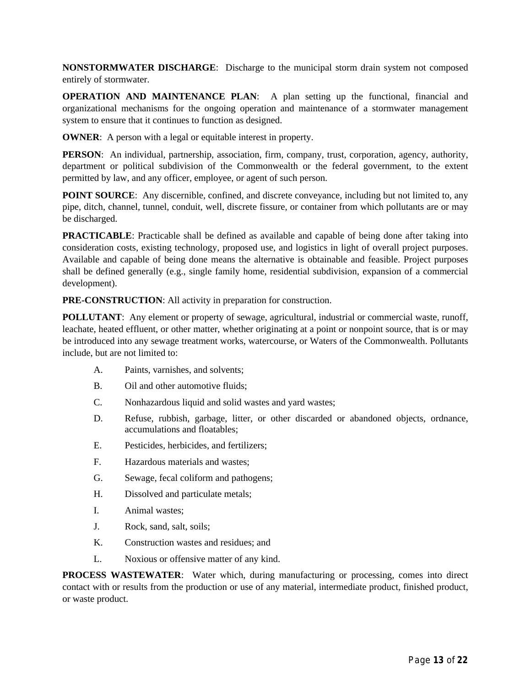**NONSTORMWATER DISCHARGE**: Discharge to the municipal storm drain system not composed entirely of stormwater.

**OPERATION AND MAINTENANCE PLAN**: A plan setting up the functional, financial and organizational mechanisms for the ongoing operation and maintenance of a stormwater management system to ensure that it continues to function as designed.

**OWNER:** A person with a legal or equitable interest in property.

**PERSON**: An individual, partnership, association, firm, company, trust, corporation, agency, authority, department or political subdivision of the Commonwealth or the federal government, to the extent permitted by law, and any officer, employee, or agent of such person.

**POINT SOURCE**: Any discernible, confined, and discrete conveyance, including but not limited to, any pipe, ditch, channel, tunnel, conduit, well, discrete fissure, or container from which pollutants are or may be discharged.

**PRACTICABLE**: Practicable shall be defined as available and capable of being done after taking into consideration costs, existing technology, proposed use, and logistics in light of overall project purposes. Available and capable of being done means the alternative is obtainable and feasible. Project purposes shall be defined generally (e.g., single family home, residential subdivision, expansion of a commercial development).

**PRE-CONSTRUCTION**: All activity in preparation for construction.

**POLLUTANT:** Any element or property of sewage, agricultural, industrial or commercial waste, runoff, leachate, heated effluent, or other matter, whether originating at a point or nonpoint source, that is or may be introduced into any sewage treatment works, watercourse, or Waters of the Commonwealth. Pollutants include, but are not limited to:

- A. Paints, varnishes, and solvents;
- B. Oil and other automotive fluids;
- C. Nonhazardous liquid and solid wastes and yard wastes;
- D. Refuse, rubbish, garbage, litter, or other discarded or abandoned objects, ordnance, accumulations and floatables;
- E. Pesticides, herbicides, and fertilizers;
- F. Hazardous materials and wastes;
- G. Sewage, fecal coliform and pathogens;
- H. Dissolved and particulate metals;
- I. Animal wastes;
- J. Rock, sand, salt, soils;
- K. Construction wastes and residues; and
- L. Noxious or offensive matter of any kind.

**PROCESS WASTEWATER**: Water which, during manufacturing or processing, comes into direct contact with or results from the production or use of any material, intermediate product, finished product, or waste product.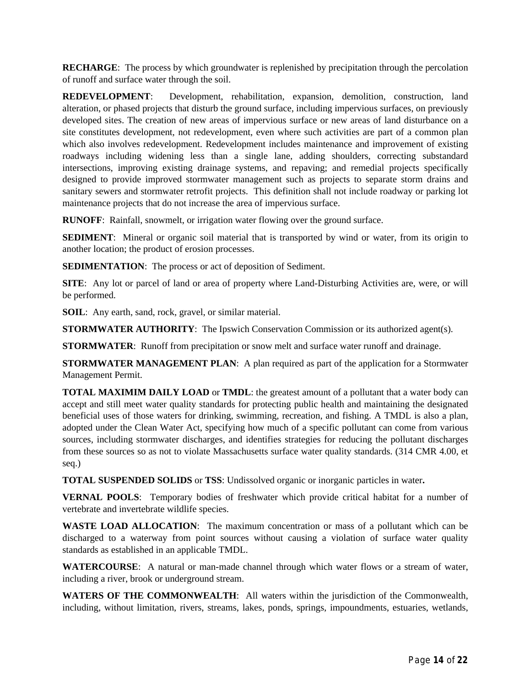**RECHARGE:** The process by which groundwater is replenished by precipitation through the percolation of runoff and surface water through the soil.

**REDEVELOPMENT**: Development, rehabilitation, expansion, demolition, construction, land alteration, or phased projects that disturb the ground surface, including impervious surfaces, on previously developed sites. The creation of new areas of impervious surface or new areas of land disturbance on a site constitutes development*,* not redevelopment, even where such activities are part of a common plan which also involves redevelopment. Redevelopment includes maintenance and improvement of existing roadways including widening less than a single lane, adding shoulders, correcting substandard intersections, improving existing drainage systems, and repaving; and remedial projects specifically designed to provide improved stormwater management such as projects to separate storm drains and sanitary sewers and stormwater retrofit projects. This definition shall not include roadway or parking lot maintenance projects that do not increase the area of impervious surface.

**RUNOFF**: Rainfall, snowmelt, or irrigation water flowing over the ground surface.

**SEDIMENT**: Mineral or organic soil material that is transported by wind or water, from its origin to another location; the product of erosion processes.

**SEDIMENTATION:** The process or act of deposition of Sediment.

**SITE**: Any lot or parcel of land or area of property where Land-Disturbing Activities are, were, or will be performed.

**SOIL**: Any earth, sand, rock, gravel, or similar material.

**STORMWATER AUTHORITY:** The Ipswich Conservation Commission or its authorized agent(s).

**STORMWATER**: Runoff from precipitation or snow melt and surface water runoff and drainage.

**STORMWATER MANAGEMENT PLAN**: A plan required as part of the application for a Stormwater Management Permit.

**TOTAL MAXIMIM DAILY LOAD** or **TMDL**: the greatest amount of a pollutant that a water body can accept and still meet water quality standards for protecting public health and maintaining the designated beneficial uses of those waters for drinking, swimming, recreation, and fishing. A TMDL is also a plan, adopted under the Clean Water Act, specifying how much of a specific pollutant can come from various sources, including stormwater discharges, and identifies strategies for reducing the pollutant discharges from these sources so as not to violate Massachusetts surface water quality standards. (314 CMR 4.00, et seq.)

**TOTAL SUSPENDED SOLIDS** or **TSS**: Undissolved organic or inorganic particles in water**.**

**VERNAL POOLS**: Temporary bodies of freshwater which provide critical habitat for a number of vertebrate and invertebrate wildlife species.

**WASTE LOAD ALLOCATION**: The maximum concentration or mass of a pollutant which can be discharged to a waterway from point sources without causing a violation of surface water quality standards as established in an applicable TMDL.

**WATERCOURSE**: A natural or man-made channel through which water flows or a stream of water, including a river, brook or underground stream.

**WATERS OF THE COMMONWEALTH**: All waters within the jurisdiction of the Commonwealth, including, without limitation, rivers, streams, lakes, ponds, springs, impoundments, estuaries, wetlands,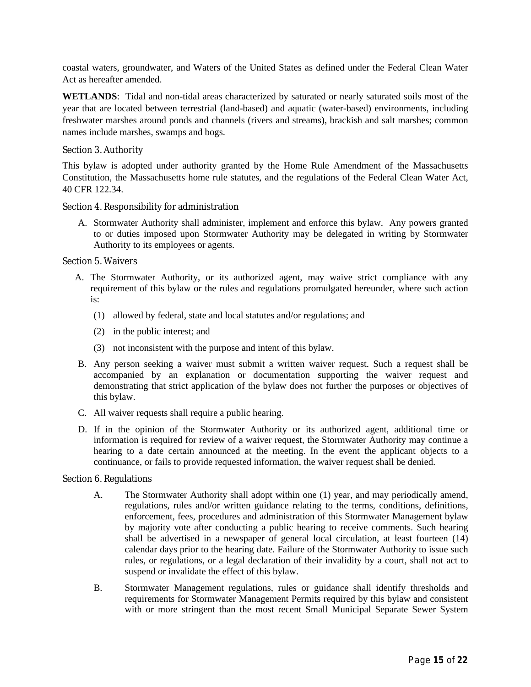coastal waters, groundwater, and Waters of the United States as defined under the Federal Clean Water Act as hereafter amended.

**WETLANDS**: Tidal and non-tidal areas characterized by saturated or nearly saturated soils most of the year that are located between terrestrial (land-based) and aquatic (water-based) environments, including freshwater marshes around ponds and channels (rivers and streams), brackish and salt marshes; common names include marshes, swamps and bogs.

#### Section 3. Authority

This bylaw is adopted under authority granted by the Home Rule Amendment of the Massachusetts Constitution, the Massachusetts home rule statutes, and the regulations of the Federal Clean Water Act, 40 CFR 122.34.

Section 4. Responsibility for administration

A. Stormwater Authority shall administer, implement and enforce this bylaw. Any powers granted to or duties imposed upon Stormwater Authority may be delegated in writing by Stormwater Authority to its employees or agents.

Section 5. Waivers

- A. The Stormwater Authority, or its authorized agent, may waive strict compliance with any requirement of this bylaw or the rules and regulations promulgated hereunder, where such action is:
	- (1) allowed by federal, state and local statutes and/or regulations; and
	- (2) in the public interest; and
	- (3) not inconsistent with the purpose and intent of this bylaw.
- B. Any person seeking a waiver must submit a written waiver request. Such a request shall be accompanied by an explanation or documentation supporting the waiver request and demonstrating that strict application of the bylaw does not further the purposes or objectives of this bylaw.
- C. All waiver requests shall require a public hearing.
- D. If in the opinion of the Stormwater Authority or its authorized agent, additional time or information is required for review of a waiver request, the Stormwater Authority may continue a hearing to a date certain announced at the meeting. In the event the applicant objects to a continuance, or fails to provide requested information, the waiver request shall be denied.

#### Section 6. Regulations

- A. The Stormwater Authority shall adopt within one (1) year, and may periodically amend, regulations, rules and/or written guidance relating to the terms, conditions, definitions, enforcement, fees, procedures and administration of this Stormwater Management bylaw by majority vote after conducting a public hearing to receive comments. Such hearing shall be advertised in a newspaper of general local circulation, at least fourteen (14) calendar days prior to the hearing date. Failure of the Stormwater Authority to issue such rules, or regulations, or a legal declaration of their invalidity by a court, shall not act to suspend or invalidate the effect of this bylaw.
- B. Stormwater Management regulations, rules or guidance shall identify thresholds and requirements for Stormwater Management Permits required by this bylaw and consistent with or more stringent than the most recent Small Municipal Separate Sewer System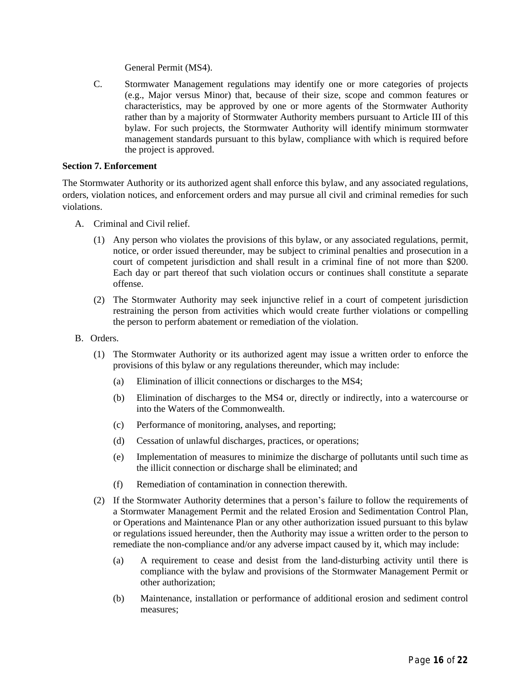General Permit (MS4).

C. Stormwater Management regulations may identify one or more categories of projects (e.g., Major versus Minor) that, because of their size, scope and common features or characteristics, may be approved by one or more agents of the Stormwater Authority rather than by a majority of Stormwater Authority members pursuant to Article III of this bylaw. For such projects, the Stormwater Authority will identify minimum stormwater management standards pursuant to this bylaw, compliance with which is required before the project is approved.

#### **Section 7. Enforcement**

The Stormwater Authority or its authorized agent shall enforce this bylaw, and any associated regulations, orders, violation notices, and enforcement orders and may pursue all civil and criminal remedies for such violations.

- A. Criminal and Civil relief.
	- (1) Any person who violates the provisions of this bylaw, or any associated regulations, permit, notice, or order issued thereunder, may be subject to criminal penalties and prosecution in a court of competent jurisdiction and shall result in a criminal fine of not more than \$200. Each day or part thereof that such violation occurs or continues shall constitute a separate offense.
	- (2) The Stormwater Authority may seek injunctive relief in a court of competent jurisdiction restraining the person from activities which would create further violations or compelling the person to perform abatement or remediation of the violation.
- B. Orders.
	- (1) The Stormwater Authority or its authorized agent may issue a written order to enforce the provisions of this bylaw or any regulations thereunder, which may include:
		- (a) Elimination of illicit connections or discharges to the MS4;
		- (b) Elimination of discharges to the MS4 or, directly or indirectly, into a watercourse or into the Waters of the Commonwealth.
		- (c) Performance of monitoring, analyses, and reporting;
		- (d) Cessation of unlawful discharges, practices, or operations;
		- (e) Implementation of measures to minimize the discharge of pollutants until such time as the illicit connection or discharge shall be eliminated; and
		- (f) Remediation of contamination in connection therewith.
	- (2) If the Stormwater Authority determines that a person's failure to follow the requirements of a Stormwater Management Permit and the related Erosion and Sedimentation Control Plan, or Operations and Maintenance Plan or any other authorization issued pursuant to this bylaw or regulations issued hereunder, then the Authority may issue a written order to the person to remediate the non-compliance and/or any adverse impact caused by it, which may include:
		- (a) A requirement to cease and desist from the land-disturbing activity until there is compliance with the bylaw and provisions of the Stormwater Management Permit or other authorization;
		- (b) Maintenance, installation or performance of additional erosion and sediment control measures;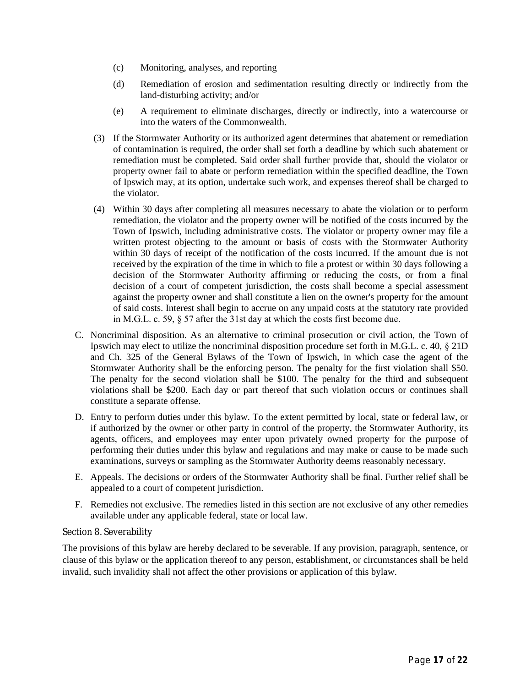- (c) Monitoring, analyses, and reporting
- (d) Remediation of erosion and sedimentation resulting directly or indirectly from the land-disturbing activity; and/or
- (e) A requirement to eliminate discharges, directly or indirectly, into a watercourse or into the waters of the Commonwealth.
- (3) If the Stormwater Authority or its authorized agent determines that abatement or remediation of contamination is required, the order shall set forth a deadline by which such abatement or remediation must be completed. Said order shall further provide that, should the violator or property owner fail to abate or perform remediation within the specified deadline, the Town of Ipswich may, at its option, undertake such work, and expenses thereof shall be charged to the violator.
- (4) Within 30 days after completing all measures necessary to abate the violation or to perform remediation, the violator and the property owner will be notified of the costs incurred by the Town of Ipswich, including administrative costs. The violator or property owner may file a written protest objecting to the amount or basis of costs with the Stormwater Authority within 30 days of receipt of the notification of the costs incurred. If the amount due is not received by the expiration of the time in which to file a protest or within 30 days following a decision of the Stormwater Authority affirming or reducing the costs, or from a final decision of a court of competent jurisdiction, the costs shall become a special assessment against the property owner and shall constitute a lien on the owner's property for the amount of said costs. Interest shall begin to accrue on any unpaid costs at the statutory rate provided in M.G.L. c. 59, § 57 after the 31st day at which the costs first become due.
- C. Noncriminal disposition. As an alternative to criminal prosecution or civil action, the Town of Ipswich may elect to utilize the noncriminal disposition procedure set forth in M.G.L. c. 40, § 21D and Ch. 325 of the General Bylaws of the Town of Ipswich, in which case the agent of the Stormwater Authority shall be the enforcing person. The penalty for the first violation shall \$50. The penalty for the second violation shall be \$100. The penalty for the third and subsequent violations shall be \$200. Each day or part thereof that such violation occurs or continues shall constitute a separate offense.
- D. Entry to perform duties under this bylaw. To the extent permitted by local, state or federal law, or if authorized by the owner or other party in control of the property, the Stormwater Authority, its agents, officers, and employees may enter upon privately owned property for the purpose of performing their duties under this bylaw and regulations and may make or cause to be made such examinations, surveys or sampling as the Stormwater Authority deems reasonably necessary.
- E. Appeals. The decisions or orders of the Stormwater Authority shall be final. Further relief shall be appealed to a court of competent jurisdiction.
- F. Remedies not exclusive. The remedies listed in this section are not exclusive of any other remedies available under any applicable federal, state or local law.

#### Section 8. Severability

The provisions of this bylaw are hereby declared to be severable. If any provision, paragraph, sentence, or clause of this bylaw or the application thereof to any person, establishment, or circumstances shall be held invalid, such invalidity shall not affect the other provisions or application of this bylaw.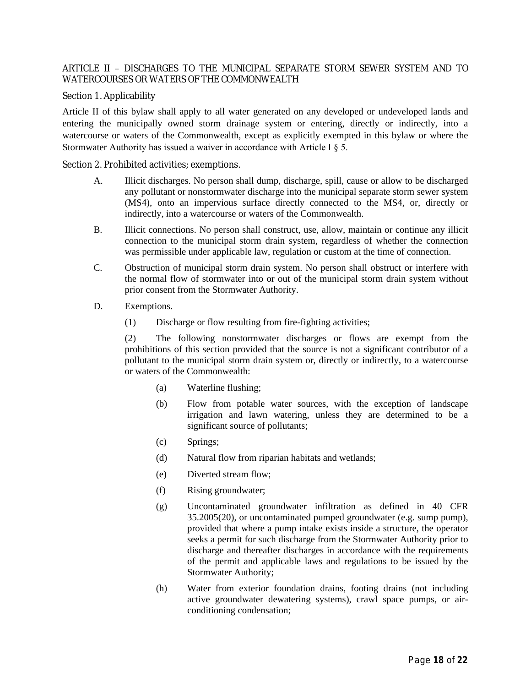# ARTICLE II – DISCHARGES TO THE MUNICIPAL SEPARATE STORM SEWER SYSTEM AND TO WATERCOURSES OR WATERS OF THE COMMONWEALTH

#### Section 1. Applicability

Article II of this bylaw shall apply to all water generated on any developed or undeveloped lands and entering the municipally owned storm drainage system or entering, directly or indirectly, into a watercourse or waters of the Commonwealth, except as explicitly exempted in this bylaw or where the Stormwater Authority has issued a waiver in accordance with Article I § 5.

Section 2. Prohibited activities; exemptions.

- A. Illicit discharges. No person shall dump, discharge, spill, cause or allow to be discharged any pollutant or nonstormwater discharge into the municipal separate storm sewer system (MS4), onto an impervious surface directly connected to the MS4, or, directly or indirectly*,* into a watercourse or waters of the Commonwealth.
- B. Illicit connections. No person shall construct, use, allow, maintain or continue any illicit connection to the municipal storm drain system, regardless of whether the connection was permissible under applicable law, regulation or custom at the time of connection.
- C. Obstruction of municipal storm drain system. No person shall obstruct or interfere with the normal flow of stormwater into or out of the municipal storm drain system without prior consent from the Stormwater Authority.
- D. Exemptions.
	- (1) Discharge or flow resulting from fire-fighting activities;

(2) The following nonstormwater discharges or flows are exempt from the prohibitions of this section provided that the source is not a significant contributor of a pollutant to the municipal storm drain system or, directly or indirectly, to a watercourse or waters of the Commonwealth:

- (a) Waterline flushing;
- (b) Flow from potable water sources, with the exception of landscape irrigation and lawn watering, unless they are determined to be a significant source of pollutants;
- (c) Springs;
- (d) Natural flow from riparian habitats and wetlands;
- (e) Diverted stream flow;
- (f) Rising groundwater;
- (g) Uncontaminated groundwater infiltration as defined in 40 CFR 35.2005(20), or uncontaminated pumped groundwater (e.g. sump pump), provided that where a pump intake exists inside a structure, the operator seeks a permit for such discharge from the Stormwater Authority prior to discharge and thereafter discharges in accordance with the requirements of the permit and applicable laws and regulations to be issued by the Stormwater Authority;
- (h) Water from exterior foundation drains, footing drains (not including active groundwater dewatering systems), crawl space pumps, or airconditioning condensation;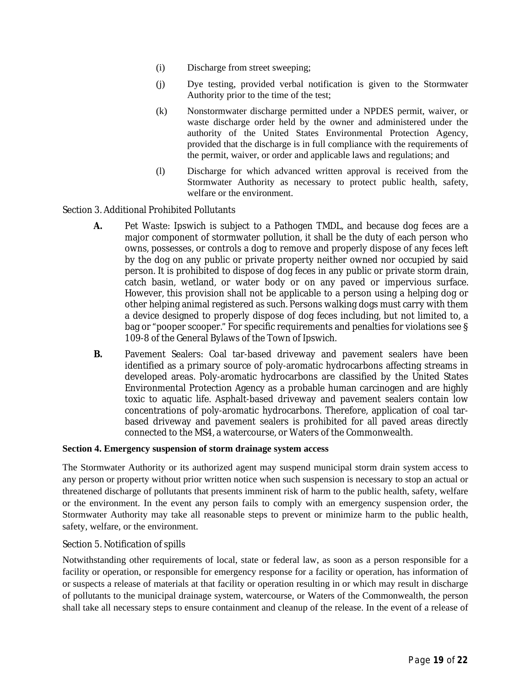- (i) Discharge from street sweeping;
- (j) Dye testing, provided verbal notification is given to the Stormwater Authority prior to the time of the test;
- (k) Nonstormwater discharge permitted under a NPDES permit, waiver, or waste discharge order held by the owner and administered under the authority of the United States Environmental Protection Agency, provided that the discharge is in full compliance with the requirements of the permit, waiver, or order and applicable laws and regulations; and
- (l) Discharge for which advanced written approval is received from the Stormwater Authority as necessary to protect public health, safety, welfare or the environment.

Section 3. Additional Prohibited Pollutants

- **A.** Pet Waste: Ipswich is subject to a Pathogen TMDL, and because dog feces are a major component of stormwater pollution, it shall be the duty of each person who owns, possesses, or controls a dog to remove and properly dispose of any feces left by the dog on any public or private property neither owned nor occupied by said person. It is prohibited to dispose of dog feces in any public or private storm drain, catch basin, wetland, or water body or on any paved or impervious surface. However, this provision shall not be applicable to a person using a helping dog or other helping animal registered as such. Persons walking dogs must carry with them a device designed to properly dispose of dog feces including, but not limited to, a bag or "pooper scooper." For specific requirements and penalties for violations see § 109-8 of the General Bylaws of the Town of Ipswich.
- **B.** Pavement Sealers: Coal tar-based driveway and pavement sealers have been identified as a primary source of poly-aromatic hydrocarbons affecting streams in developed areas. Poly-aromatic hydrocarbons are classified by the United States Environmental Protection Agency as a probable human carcinogen and are highly toxic to aquatic life. Asphalt-based driveway and pavement sealers contain low concentrations of poly-aromatic hydrocarbons. Therefore, application of coal tarbased driveway and pavement sealers is prohibited for all paved areas directly connected to the MS4, a watercourse, or Waters of the Commonwealth.

#### **Section 4. Emergency suspension of storm drainage system access**

The Stormwater Authority or its authorized agent may suspend municipal storm drain system access to any person or property without prior written notice when such suspension is necessary to stop an actual or threatened discharge of pollutants that presents imminent risk of harm to the public health, safety, welfare or the environment. In the event any person fails to comply with an emergency suspension order, the Stormwater Authority may take all reasonable steps to prevent or minimize harm to the public health, safety, welfare, or the environment.

### Section 5. Notification of spills

Notwithstanding other requirements of local, state or federal law, as soon as a person responsible for a facility or operation, or responsible for emergency response for a facility or operation, has information of or suspects a release of materials at that facility or operation resulting in or which may result in discharge of pollutants to the municipal drainage system, watercourse, or Waters of the Commonwealth, the person shall take all necessary steps to ensure containment and cleanup of the release. In the event of a release of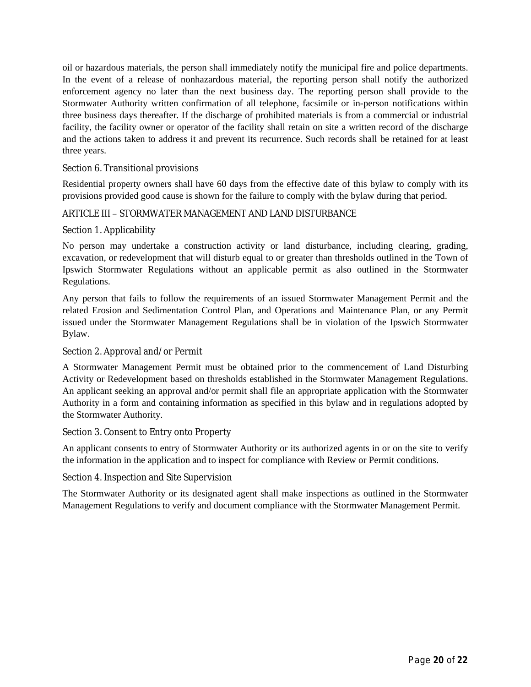oil or hazardous materials, the person shall immediately notify the municipal fire and police departments. In the event of a release of nonhazardous material, the reporting person shall notify the authorized enforcement agency no later than the next business day. The reporting person shall provide to the Stormwater Authority written confirmation of all telephone, facsimile or in-person notifications within three business days thereafter. If the discharge of prohibited materials is from a commercial or industrial facility, the facility owner or operator of the facility shall retain on site a written record of the discharge and the actions taken to address it and prevent its recurrence. Such records shall be retained for at least three years.

# Section 6. Transitional provisions

Residential property owners shall have 60 days from the effective date of this bylaw to comply with its provisions provided good cause is shown for the failure to comply with the bylaw during that period.

# ARTICLE III – STORMWATER MANAGEMENT AND LAND DISTURBANCE

#### Section 1. Applicability

No person may undertake a construction activity or land disturbance, including clearing, grading, excavation, or redevelopment that will disturb equal to or greater than thresholds outlined in the Town of Ipswich Stormwater Regulations without an applicable permit as also outlined in the Stormwater Regulations.

Any person that fails to follow the requirements of an issued Stormwater Management Permit and the related Erosion and Sedimentation Control Plan, and Operations and Maintenance Plan, or any Permit issued under the Stormwater Management Regulations shall be in violation of the Ipswich Stormwater Bylaw.

#### Section 2. Approval and/or Permit

A Stormwater Management Permit must be obtained prior to the commencement of Land Disturbing Activity or Redevelopment based on thresholds established in the Stormwater Management Regulations. An applicant seeking an approval and/or permit shall file an appropriate application with the Stormwater Authority in a form and containing information as specified in this bylaw and in regulations adopted by the Stormwater Authority.

#### Section 3. Consent to Entry onto Property

An applicant consents to entry of Stormwater Authority or its authorized agents in or on the site to verify the information in the application and to inspect for compliance with Review or Permit conditions.

#### Section 4. Inspection and Site Supervision

The Stormwater Authority or its designated agent shall make inspections as outlined in the Stormwater Management Regulations to verify and document compliance with the Stormwater Management Permit.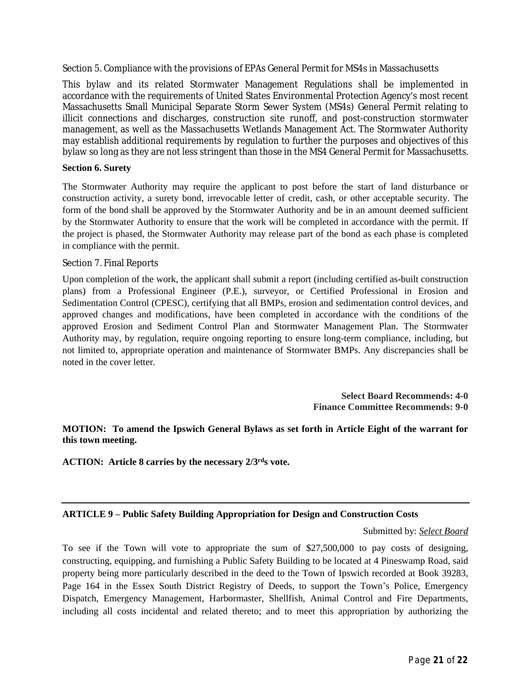Section 5. Compliance with the provisions of EPAs General Permit for MS4s in Massachusetts

This bylaw and its related Stormwater Management Regulations shall be implemented in accordance with the requirements of United States Environmental Protection Agency's most recent Massachusetts Small Municipal Separate Storm Sewer System (MS4s) General Permit relating to illicit connections and discharges, construction site runoff, and post-construction stormwater management, as well as the Massachusetts Wetlands Management Act. The Stormwater Authority may establish additional requirements by regulation to further the purposes and objectives of this bylaw so long as they are not less stringent than those in the MS4 General Permit for Massachusetts.

#### **Section 6. Surety**

The Stormwater Authority may require the applicant to post before the start of land disturbance or construction activity, a surety bond, irrevocable letter of credit, cash, or other acceptable security. The form of the bond shall be approved by the Stormwater Authority and be in an amount deemed sufficient by the Stormwater Authority to ensure that the work will be completed in accordance with the permit. If the project is phased, the Stormwater Authority may release part of the bond as each phase is completed in compliance with the permit.

#### Section 7. Final Reports

Upon completion of the work, the applicant shall submit a report (including certified as-built construction plans) from a Professional Engineer (P.E.), surveyor, or Certified Professional in Erosion and Sedimentation Control (CPESC), certifying that all BMPs, erosion and sedimentation control devices, and approved changes and modifications, have been completed in accordance with the conditions of the approved Erosion and Sediment Control Plan and Stormwater Management Plan. The Stormwater Authority may, by regulation, require ongoing reporting to ensure long-term compliance, including, but not limited to, appropriate operation and maintenance of Stormwater BMPs. Any discrepancies shall be noted in the cover letter.

> **Select Board Recommends: 4-0 Finance Committee Recommends: 9-0**

# **MOTION: To amend the Ipswich General Bylaws as set forth in Article Eight of the warrant for this town meeting.**

**ACTION: Article 8 carries by the necessary 2/3rds vote.**

#### **ARTICLE 9 – Public Safety Building Appropriation for Design and Construction Costs**

#### Submitted by: *Select Board*

To see if the Town will vote to appropriate the sum of \$27,500,000 to pay costs of designing, constructing, equipping, and furnishing a Public Safety Building to be located at 4 Pineswamp Road, said property being more particularly described in the deed to the Town of Ipswich recorded at Book 39283, Page 164 in the Essex South District Registry of Deeds, to support the Town's Police, Emergency Dispatch, Emergency Management, Harbormaster, Shellfish, Animal Control and Fire Departments, including all costs incidental and related thereto; and to meet this appropriation by authorizing the